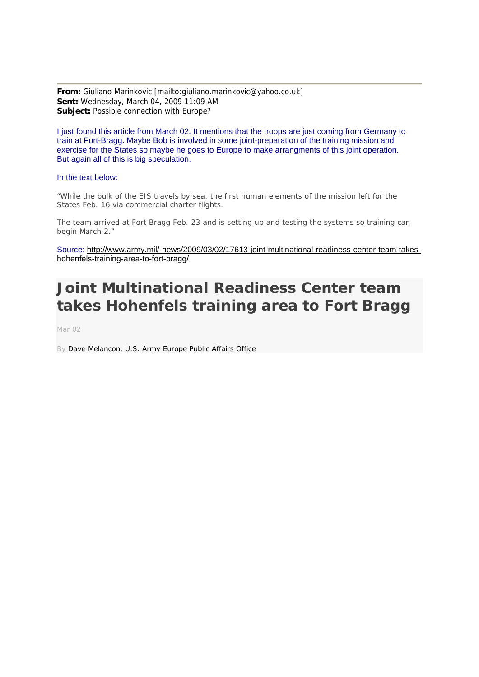**From:** Giuliano Marinkovic [mailto:giuliano.marinkovic@yahoo.co.uk] **Sent:** Wednesday, March 04, 2009 11:09 AM **Subject:** Possible connection with Europe?

I just found this article from March 02. It mentions that the troops are just coming from Germany to train at Fort-Bragg. Maybe Bob is involved in some joint-preparation of the training mission and exercise for the States so maybe he goes to Europe to make arrangments of this joint operation. But again all of this is big speculation.

## In the text below:

*"While the bulk of the EIS travels by sea, the first human elements of the mission left for the States Feb. 16 via commercial charter flights.* 

*The team arrived at Fort Bragg Feb. 23 and is setting up and testing the systems so training can begin March 2."*

Source: [http://www.army.mil/-news/2009/03/02/17613-joint-multinational-readiness-center-team-takes](http://www.army.mil/-news/2009/03/02/17613-joint-multinational-readiness-center-team-takes-hohenfels-training-area-to-fort-bragg/)[hohenfels-training-area-to-fort-bragg/](http://www.army.mil/-news/2009/03/02/17613-joint-multinational-readiness-center-team-takes-hohenfels-training-area-to-fort-bragg/)

## **Joint Multinational Readiness Center team takes Hohenfels training area to Fort Bragg**

Mar 02

By [Dave Melancon, U.S. Army Europe Public Affairs Office](http://www4.army.mil/search/articles/index.php?search=Dave+Melancon+US+Army+Europe+Public+Affairs+Office)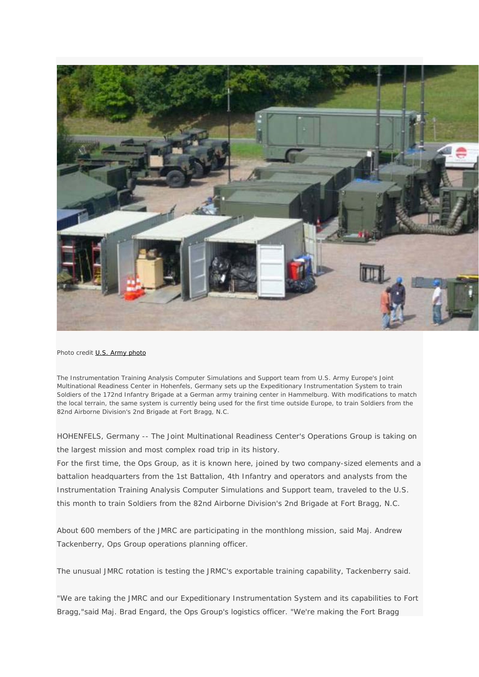

*Photo credit [U.S. Army photo](http://www4.army.mil/search/articles/index.php?search=US+Army+photo)*

*The Instrumentation Training Analysis Computer Simulations and Support team from U.S. Army Europe's Joint Multinational Readiness Center in Hohenfels, Germany sets up the Expeditionary Instrumentation System to train Soldiers of the 172nd Infantry Brigade at a German army training center in Hammelburg. With modifications to match the local terrain, the same system is currently being used for the first time outside Europe, to train Soldiers from the 82nd Airborne Division's 2nd Brigade at Fort Bragg, N.C.* 

*HOHENFELS, Germany -- The Joint Multinational Readiness Center's Operations Group is taking on the largest mission and most complex road trip in its history.* 

*For the first time, the Ops Group, as it is known here, joined by two company-sized elements and a battalion headquarters from the 1st Battalion, 4th Infantry and operators and analysts from the Instrumentation Training Analysis Computer Simulations and Support team, traveled to the U.S. this month to train Soldiers from the 82nd Airborne Division's 2nd Brigade at Fort Bragg, N.C.* 

*About 600 members of the JMRC are participating in the monthlong mission, said Maj. Andrew Tackenberry, Ops Group operations planning officer.* 

*The unusual JMRC rotation is testing the JRMC's exportable training capability, Tackenberry said.* 

*"We are taking the JMRC and our Expeditionary Instrumentation System and its capabilities to Fort Bragg,"said Maj. Brad Engard, the Ops Group's logistics officer. "We're making the Fort Bragg*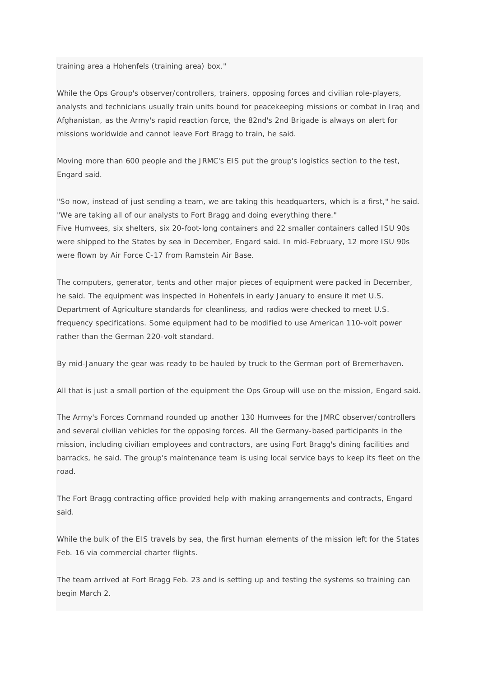*training area a Hohenfels (training area) box."* 

*While the Ops Group's observer/controllers, trainers, opposing forces and civilian role-players, analysts and technicians usually train units bound for peacekeeping missions or combat in Iraq and Afghanistan, as the Army's rapid reaction force, the 82nd's 2nd Brigade is always on alert for missions worldwide and cannot leave Fort Bragg to train, he said.* 

*Moving more than 600 people and the JRMC's EIS put the group's logistics section to the test, Engard said.* 

*"So now, instead of just sending a team, we are taking this headquarters, which is a first," he said. "We are taking all of our analysts to Fort Bragg and doing everything there." Five Humvees, six shelters, six 20-foot-long containers and 22 smaller containers called ISU 90s were shipped to the States by sea in December, Engard said. In mid-February, 12 more ISU 90s were flown by Air Force C-17 from Ramstein Air Base.* 

*The computers, generator, tents and other major pieces of equipment were packed in December, he said. The equipment was inspected in Hohenfels in early January to ensure it met U.S. Department of Agriculture standards for cleanliness, and radios were checked to meet U.S. frequency specifications. Some equipment had to be modified to use American 110-volt power rather than the German 220-volt standard.* 

*By mid-January the gear was ready to be hauled by truck to the German port of Bremerhaven.* 

*All that is just a small portion of the equipment the Ops Group will use on the mission, Engard said.* 

*The Army's Forces Command rounded up another 130 Humvees for the JMRC observer/controllers and several civilian vehicles for the opposing forces. All the Germany-based participants in the mission, including civilian employees and contractors, are using Fort Bragg's dining facilities and*  barracks, he said. The group's maintenance team is using local service bays to keep its fleet on the *road.* 

*The Fort Bragg contracting office provided help with making arrangements and contracts, Engard said.* 

*While the bulk of the EIS travels by sea, the first human elements of the mission left for the States Feb. 16 via commercial charter flights.* 

*The team arrived at Fort Bragg Feb. 23 and is setting up and testing the systems so training can begin March 2.*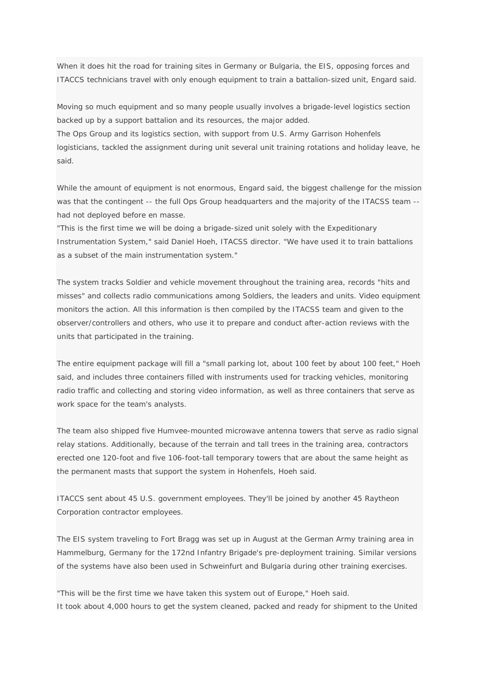*When it does hit the road for training sites in Germany or Bulgaria, the EIS, opposing forces and ITACCS technicians travel with only enough equipment to train a battalion-sized unit, Engard said.* 

*Moving so much equipment and so many people usually involves a brigade-level logistics section backed up by a support battalion and its resources, the major added. The Ops Group and its logistics section, with support from U.S. Army Garrison Hohenfels logisticians, tackled the assignment during unit several unit training rotations and holiday leave, he said.* 

*While the amount of equipment is not enormous, Engard said, the biggest challenge for the mission was that the contingent -- the full Ops Group headquarters and the majority of the ITACSS team - had not deployed before en masse.* 

*"This is the first time we will be doing a brigade-sized unit solely with the Expeditionary Instrumentation System," said Daniel Hoeh, ITACSS director. "We have used it to train battalions as a subset of the main instrumentation system."* 

*The system tracks Soldier and vehicle movement throughout the training area, records "hits and misses" and collects radio communications among Soldiers, the leaders and units. Video equipment monitors the action. All this information is then compiled by the ITACSS team and given to the observer/controllers and others, who use it to prepare and conduct after-action reviews with the units that participated in the training.* 

*The entire equipment package will fill a "small parking lot, about 100 feet by about 100 feet," Hoeh*  said, and includes three containers filled with instruments used for tracking vehicles, monitoring *radio traffic and collecting and storing video information, as well as three containers that serve as work space for the team's analysts.* 

*The team also shipped five Humvee-mounted microwave antenna towers that serve as radio signal relay stations. Additionally, because of the terrain and tall trees in the training area, contractors erected one 120-foot and five 106-foot-tall temporary towers that are about the same height as the permanent masts that support the system in Hohenfels, Hoeh said.* 

*ITACCS sent about 45 U.S. government employees. They'll be joined by another 45 Raytheon Corporation contractor employees.* 

*The EIS system traveling to Fort Bragg was set up in August at the German Army training area in Hammelburg, Germany for the 172nd Infantry Brigade's pre-deployment training. Similar versions of the systems have also been used in Schweinfurt and Bulgaria during other training exercises.* 

*"This will be the first time we have taken this system out of Europe," Hoeh said. It took about 4,000 hours to get the system cleaned, packed and ready for shipment to the United*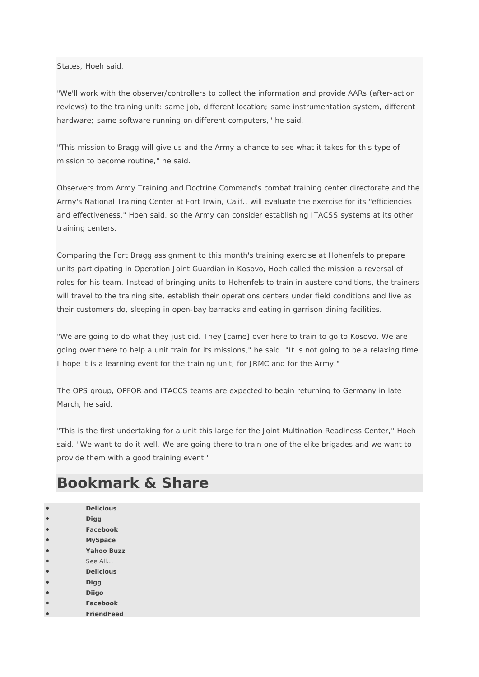*States, Hoeh said.* 

*"We'll work with the observer/controllers to collect the information and provide AARs (after-action reviews) to the training unit: same job, different location; same instrumentation system, different hardware; same software running on different computers," he said.* 

*"This mission to Bragg will give us and the Army a chance to see what it takes for this type of mission to become routine," he said.* 

*Observers from Army Training and Doctrine Command's combat training center directorate and the Army's National Training Center at Fort Irwin, Calif., will evaluate the exercise for its "efficiencies and effectiveness," Hoeh said, so the Army can consider establishing ITACSS systems at its other training centers.* 

*Comparing the Fort Bragg assignment to this month's training exercise at Hohenfels to prepare units participating in Operation Joint Guardian in Kosovo, Hoeh called the mission a reversal of roles for his team. Instead of bringing units to Hohenfels to train in austere conditions, the trainers will travel to the training site, establish their operations centers under field conditions and live as their customers do, sleeping in open-bay barracks and eating in garrison dining facilities.* 

*"We are going to do what they just did. They [came] over here to train to go to Kosovo. We are going over there to help a unit train for its missions," he said. "It is not going to be a relaxing time. I hope it is a learning event for the training unit, for JRMC and for the Army."* 

*The OPS group, OPFOR and ITACCS teams are expected to begin returning to Germany in late March, he said.* 

*"This is the first undertaking for a unit this large for the Joint Multination Readiness Center," Hoeh said. "We want to do it well. We are going there to train one of the elite brigades and we want to provide them with a good training event."*

## *Bookmark & Share*

|           | <b>Delicious</b>  |
|-----------|-------------------|
|           | Digg              |
| $\bullet$ | Facebook          |
| $\bullet$ | <b>MySpace</b>    |
| $\bullet$ | <b>Yahoo Buzz</b> |
| $\bullet$ | See All           |
| $\bullet$ | <b>Delicious</b>  |
| $\bullet$ | Digg              |
|           | <b>Diigo</b>      |
|           | Facebook          |
|           | <b>FriendFeed</b> |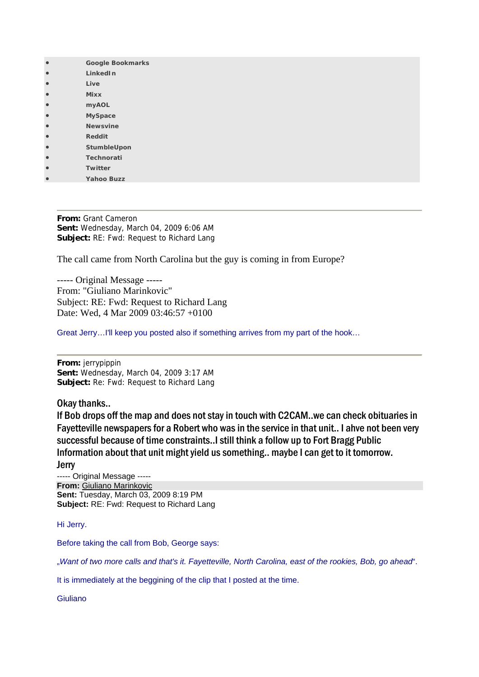| <b>Google Bookmarks</b> |
|-------------------------|
| <b>LinkedIn</b>         |
| Live                    |
| <b>Mixx</b>             |
| <b>myAOL</b>            |
| <b>MySpace</b>          |
| <b>Newsvine</b>         |
| <b>Reddit</b>           |
| StumbleUpon             |
| <b>Technorati</b>       |
| Twitter                 |
| <b>Yahoo Buzz</b>       |

**From:** Grant Cameron **Sent:** Wednesday, March 04, 2009 6:06 AM **Subject:** RE: Fwd: Request to Richard Lang

The call came from North Carolina but the guy is coming in from Europe?

----- Original Message ----- From: "Giuliano Marinkovic" Subject: RE: Fwd: Request to Richard Lang Date: Wed, 4 Mar 2009 03:46:57 +0100

Great Jerry…I'll keep you posted also if something arrives from my part of the hook…

**From:** jerrypippin **Sent:** Wednesday, March 04, 2009 3:17 AM **Subject:** Re: Fwd: Request to Richard Lang

Okay thanks..

If Bob drops off the map and does not stay in touch with C2CAM..we can check obituaries in Fayetteville newspapers for a Robert who was in the service in that unit.. I ahve not been very successful because of time constraints..I still think a follow up to Fort Bragg Public Information about that unit might yield us something.. maybe I can get to it tomorrow. Jerry

----- Original Message ----- **From:** [Giuliano Marinkovic](mailto:giuliano.marinkovic@yahoo.co.uk) **Sent:** Tuesday, March 03, 2009 8:19 PM **Subject:** RE: Fwd: Request to Richard Lang

Hi Jerry.

Before taking the call from Bob, George says:

"*Want of two more calls and that's it. Fayetteville, North Carolina, east of the rookies, Bob, go ahead*".

It is immediately at the beggining of the clip that I posted at the time.

Giuliano